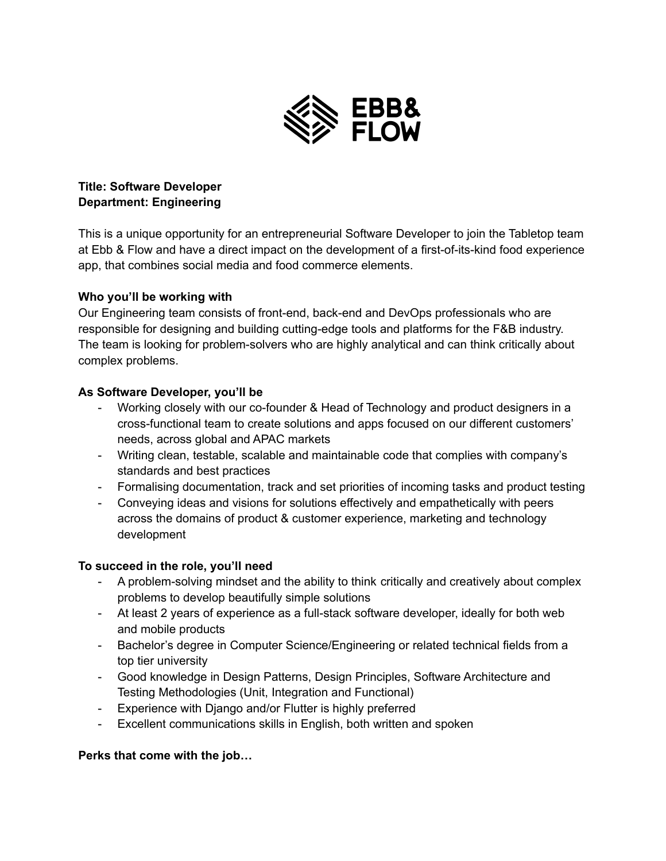

## **Title: Software Developer Department: Engineering**

This is a unique opportunity for an entrepreneurial Software Developer to join the Tabletop team at Ebb & Flow and have a direct impact on the development of a first-of-its-kind food experience app, that combines social media and food commerce elements.

#### **Who you'll be working with**

Our Engineering team consists of front-end, back-end and DevOps professionals who are responsible for designing and building cutting-edge tools and platforms for the F&B industry. The team is looking for problem-solvers who are highly analytical and can think critically about complex problems.

#### **As Software Developer, you'll be**

- Working closely with our co-founder & Head of Technology and product designers in a cross-functional team to create solutions and apps focused on our different customers' needs, across global and APAC markets
- Writing clean, testable, scalable and maintainable code that complies with company's standards and best practices
- Formalising documentation, track and set priorities of incoming tasks and product testing
- Conveying ideas and visions for solutions effectively and empathetically with peers across the domains of product & customer experience, marketing and technology development

#### **To succeed in the role, you'll need**

- A problem-solving mindset and the ability to think critically and creatively about complex problems to develop beautifully simple solutions
- At least 2 years of experience as a full-stack software developer, ideally for both web and mobile products
- Bachelor's degree in Computer Science/Engineering or related technical fields from a top tier university
- Good knowledge in Design Patterns, Design Principles, Software Architecture and Testing Methodologies (Unit, Integration and Functional)
- Experience with Django and/or Flutter is highly preferred
- Excellent communications skills in English, both written and spoken

#### **Perks that come with the job…**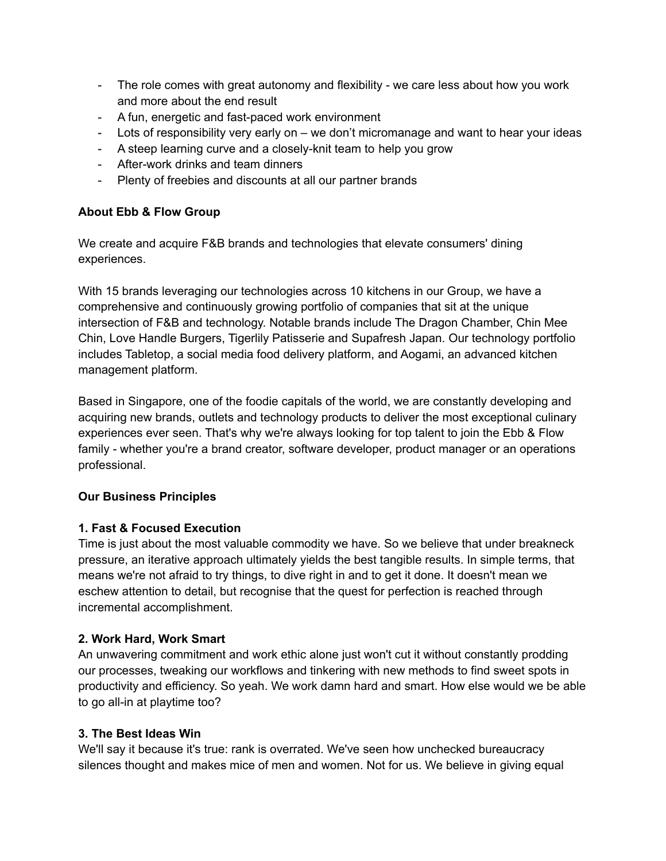- The role comes with great autonomy and flexibility we care less about how you work and more about the end result
- A fun, energetic and fast-paced work environment
- Lots of responsibility very early on we don't micromanage and want to hear your ideas
- A steep learning curve and a closely-knit team to help you grow
- After-work drinks and team dinners
- Plenty of freebies and discounts at all our partner brands

# **About Ebb & Flow Group**

We create and acquire F&B brands and technologies that elevate consumers' dining experiences.

With 15 brands leveraging our technologies across 10 kitchens in our Group, we have a comprehensive and continuously growing portfolio of companies that sit at the unique intersection of F&B and technology. Notable brands include The Dragon Chamber, Chin Mee Chin, Love Handle Burgers, Tigerlily Patisserie and Supafresh Japan. Our technology portfolio includes Tabletop, a social media food delivery platform, and Aogami, an advanced kitchen management platform.

Based in Singapore, one of the foodie capitals of the world, we are constantly developing and acquiring new brands, outlets and technology products to deliver the most exceptional culinary experiences ever seen. That's why we're always looking for top talent to join the Ebb & Flow family - whether you're a brand creator, software developer, product manager or an operations professional.

## **Our Business Principles**

## **1. Fast & Focused Execution**

Time is just about the most valuable commodity we have. So we believe that under breakneck pressure, an iterative approach ultimately yields the best tangible results. In simple terms, that means we're not afraid to try things, to dive right in and to get it done. It doesn't mean we eschew attention to detail, but recognise that the quest for perfection is reached through incremental accomplishment.

## **2. Work Hard, Work Smart**

An unwavering commitment and work ethic alone just won't cut it without constantly prodding our processes, tweaking our workflows and tinkering with new methods to find sweet spots in productivity and efficiency. So yeah. We work damn hard and smart. How else would we be able to go all-in at playtime too?

## **3. The Best Ideas Win**

We'll say it because it's true: rank is overrated. We've seen how unchecked bureaucracy silences thought and makes mice of men and women. Not for us. We believe in giving equal